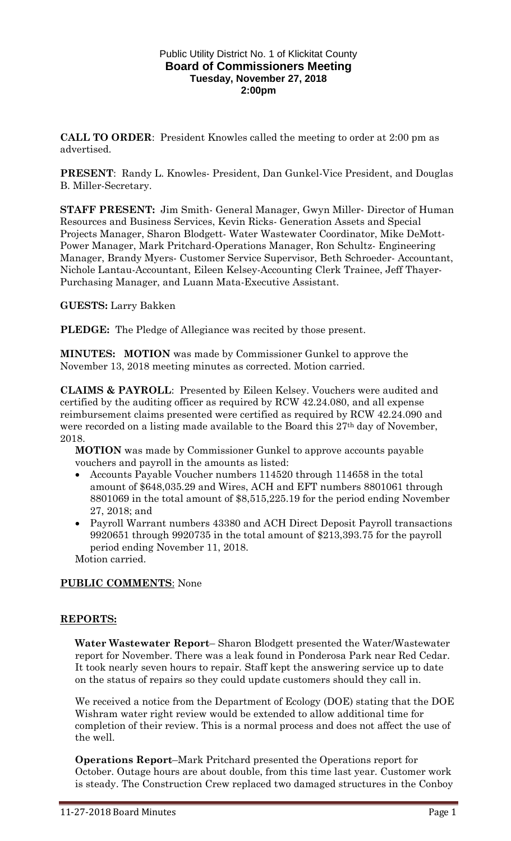### Public Utility District No. 1 of Klickitat County **Board of Commissioners Meeting Tuesday, November 27, 2018 2:00pm**

**CALL TO ORDER**: President Knowles called the meeting to order at 2:00 pm as advertised.

**PRESENT**: Randy L. Knowles- President, Dan Gunkel-Vice President, and Douglas B. Miller-Secretary.

**STAFF PRESENT:** Jim Smith- General Manager, Gwyn Miller- Director of Human Resources and Business Services, Kevin Ricks- Generation Assets and Special Projects Manager, Sharon Blodgett- Water Wastewater Coordinator, Mike DeMott-Power Manager, Mark Pritchard-Operations Manager, Ron Schultz- Engineering Manager, Brandy Myers- Customer Service Supervisor, Beth Schroeder- Accountant, Nichole Lantau-Accountant, Eileen Kelsey-Accounting Clerk Trainee, Jeff Thayer-Purchasing Manager, and Luann Mata-Executive Assistant.

# **GUESTS:** Larry Bakken

**PLEDGE:** The Pledge of Allegiance was recited by those present.

**MINUTES: MOTION** was made by Commissioner Gunkel to approve the November 13, 2018 meeting minutes as corrected. Motion carried.

**CLAIMS & PAYROLL**: Presented by Eileen Kelsey. Vouchers were audited and certified by the auditing officer as required by RCW 42.24.080, and all expense reimbursement claims presented were certified as required by RCW 42.24.090 and were recorded on a listing made available to the Board this 27<sup>th</sup> day of November, 2018.

**MOTION** was made by Commissioner Gunkel to approve accounts payable vouchers and payroll in the amounts as listed:

- Accounts Payable Voucher numbers 114520 through 114658 in the total amount of \$648,035.29 and Wires, ACH and EFT numbers 8801061 through 8801069 in the total amount of \$8,515,225.19 for the period ending November 27, 2018; and
- Payroll Warrant numbers 43380 and ACH Direct Deposit Payroll transactions 9920651 through 9920735 in the total amount of \$213,393.75 for the payroll period ending November 11, 2018.

Motion carried.

## **PUBLIC COMMENTS**: None

## **REPORTS:**

**Water Wastewater Report**– Sharon Blodgett presented the Water/Wastewater report for November. There was a leak found in Ponderosa Park near Red Cedar. It took nearly seven hours to repair. Staff kept the answering service up to date on the status of repairs so they could update customers should they call in.

We received a notice from the Department of Ecology (DOE) stating that the DOE Wishram water right review would be extended to allow additional time for completion of their review. This is a normal process and does not affect the use of the well.

**Operations Report**–Mark Pritchard presented the Operations report for October. Outage hours are about double, from this time last year. Customer work is steady. The Construction Crew replaced two damaged structures in the Conboy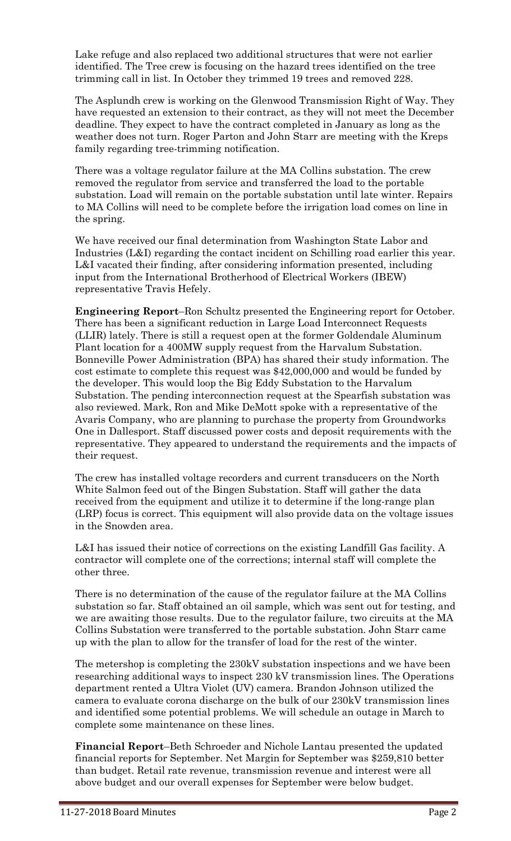Lake refuge and also replaced two additional structures that were not earlier identified. The Tree crew is focusing on the hazard trees identified on the tree trimming call in list. In October they trimmed 19 trees and removed 228.

The Asplundh crew is working on the Glenwood Transmission Right of Way. They have requested an extension to their contract, as they will not meet the December deadline. They expect to have the contract completed in January as long as the weather does not turn. Roger Parton and John Starr are meeting with the Kreps family regarding tree-trimming notification.

There was a voltage regulator failure at the MA Collins substation. The crew removed the regulator from service and transferred the load to the portable substation. Load will remain on the portable substation until late winter. Repairs to MA Collins will need to be complete before the irrigation load comes on line in the spring.

We have received our final determination from Washington State Labor and Industries (L&I) regarding the contact incident on Schilling road earlier this year. L&I vacated their finding, after considering information presented, including input from the International Brotherhood of Electrical Workers (IBEW) representative Travis Hefely.

**Engineering Report**–Ron Schultz presented the Engineering report for October. There has been a significant reduction in Large Load Interconnect Requests (LLIR) lately. There is still a request open at the former Goldendale Aluminum Plant location for a 400MW supply request from the Harvalum Substation. Bonneville Power Administration (BPA) has shared their study information. The cost estimate to complete this request was \$42,000,000 and would be funded by the developer. This would loop the Big Eddy Substation to the Harvalum Substation. The pending interconnection request at the Spearfish substation was also reviewed. Mark, Ron and Mike DeMott spoke with a representative of the Avaris Company, who are planning to purchase the property from Groundworks One in Dallesport. Staff discussed power costs and deposit requirements with the representative. They appeared to understand the requirements and the impacts of their request.

The crew has installed voltage recorders and current transducers on the North White Salmon feed out of the Bingen Substation. Staff will gather the data received from the equipment and utilize it to determine if the long-range plan (LRP) focus is correct. This equipment will also provide data on the voltage issues in the Snowden area.

L&I has issued their notice of corrections on the existing Landfill Gas facility. A contractor will complete one of the corrections; internal staff will complete the other three.

There is no determination of the cause of the regulator failure at the MA Collins substation so far. Staff obtained an oil sample, which was sent out for testing, and we are awaiting those results. Due to the regulator failure, two circuits at the MA Collins Substation were transferred to the portable substation. John Starr came up with the plan to allow for the transfer of load for the rest of the winter.

The metershop is completing the 230kV substation inspections and we have been researching additional ways to inspect 230 kV transmission lines. The Operations department rented a Ultra Violet (UV) camera. Brandon Johnson utilized the camera to evaluate corona discharge on the bulk of our 230kV transmission lines and identified some potential problems. We will schedule an outage in March to complete some maintenance on these lines.

**Financial Report**–Beth Schroeder and Nichole Lantau presented the updated financial reports for September. Net Margin for September was \$259,810 better than budget. Retail rate revenue, transmission revenue and interest were all above budget and our overall expenses for September were below budget.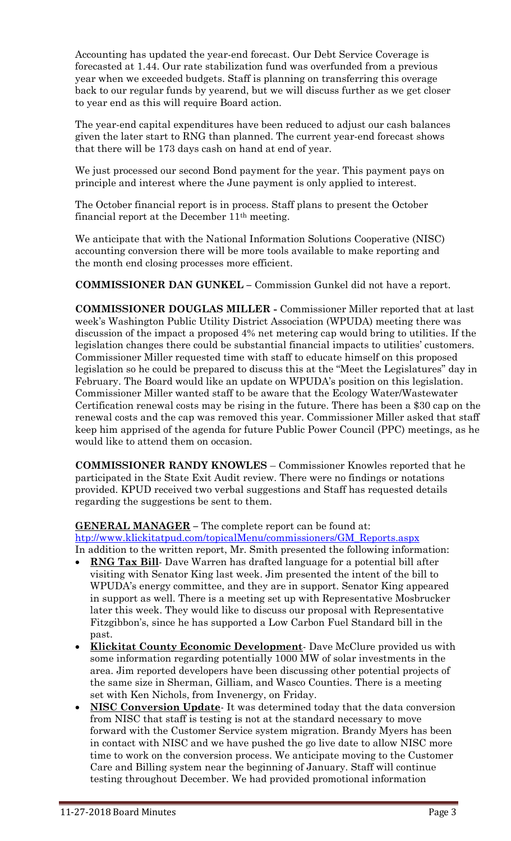Accounting has updated the year-end forecast. Our Debt Service Coverage is forecasted at 1.44. Our rate stabilization fund was overfunded from a previous year when we exceeded budgets. Staff is planning on transferring this overage back to our regular funds by yearend, but we will discuss further as we get closer to year end as this will require Board action.

The year-end capital expenditures have been reduced to adjust our cash balances given the later start to RNG than planned. The current year-end forecast shows that there will be 173 days cash on hand at end of year.

We just processed our second Bond payment for the year. This payment pays on principle and interest where the June payment is only applied to interest.

The October financial report is in process. Staff plans to present the October financial report at the December 11th meeting.

We anticipate that with the National Information Solutions Cooperative (NISC) accounting conversion there will be more tools available to make reporting and the month end closing processes more efficient.

**COMMISSIONER DAN GUNKEL –** Commission Gunkel did not have a report.

**COMMISSIONER DOUGLAS MILLER -** Commissioner Miller reported that at last week's Washington Public Utility District Association (WPUDA) meeting there was discussion of the impact a proposed 4% net metering cap would bring to utilities. If the legislation changes there could be substantial financial impacts to utilities' customers. Commissioner Miller requested time with staff to educate himself on this proposed legislation so he could be prepared to discuss this at the "Meet the Legislatures" day in February. The Board would like an update on WPUDA's position on this legislation. Commissioner Miller wanted staff to be aware that the Ecology Water/Wastewater Certification renewal costs may be rising in the future. There has been a \$30 cap on the renewal costs and the cap was removed this year. Commissioner Miller asked that staff keep him apprised of the agenda for future Public Power Council (PPC) meetings, as he would like to attend them on occasion.

**COMMISSIONER RANDY KNOWLES** – Commissioner Knowles reported that he participated in the State Exit Audit review. There were no findings or notations provided. KPUD received two verbal suggestions and Staff has requested details regarding the suggestions be sent to them.

## **GENERAL MANAGER –** The complete report can be found at:

[htp://www.klickitatpud.com/topicalMenu/commissioners/GM\\_Reports.aspx](http://www.klickitatpud.com/topicalMenu/commissioners/GM_Reports.aspx) In addition to the written report, Mr. Smith presented the following information:

- **RNG Tax Bill** Dave Warren has drafted language for a potential bill after visiting with Senator King last week. Jim presented the intent of the bill to WPUDA's energy committee, and they are in support. Senator King appeared in support as well. There is a meeting set up with Representative Mosbrucker later this week. They would like to discuss our proposal with Representative Fitzgibbon's, since he has supported a Low Carbon Fuel Standard bill in the past.
- **Klickitat County Economic Development** Dave McClure provided us with some information regarding potentially 1000 MW of solar investments in the area. Jim reported developers have been discussing other potential projects of the same size in Sherman, Gilliam, and Wasco Counties. There is a meeting set with Ken Nichols, from Invenergy, on Friday.
- **NISC Conversion Update** It was determined today that the data conversion from NISC that staff is testing is not at the standard necessary to move forward with the Customer Service system migration. Brandy Myers has been in contact with NISC and we have pushed the go live date to allow NISC more time to work on the conversion process. We anticipate moving to the Customer Care and Billing system near the beginning of January. Staff will continue testing throughout December. We had provided promotional information